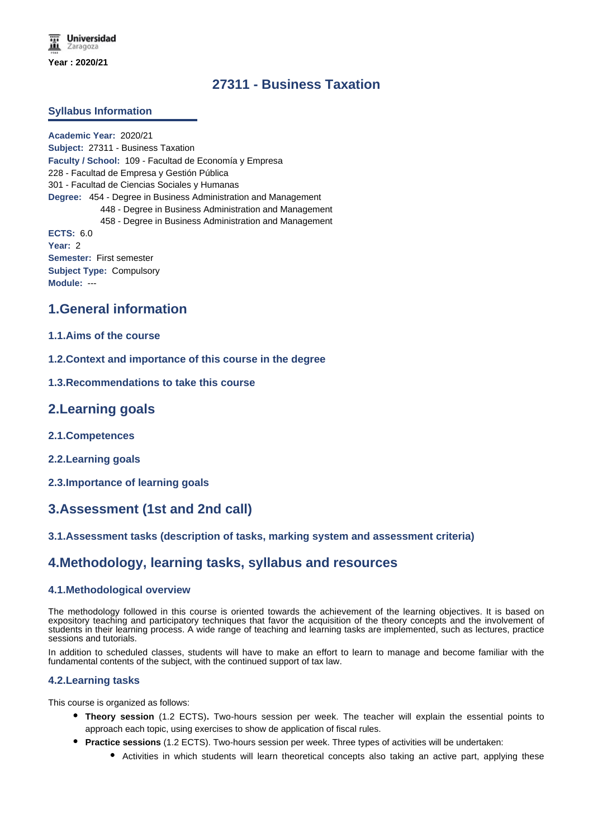# **27311 - Business Taxation**

### **Syllabus Information**

**Academic Year:** 2020/21 **Subject:** 27311 - Business Taxation **Faculty / School:** 109 - Facultad de Economía y Empresa 228 - Facultad de Empresa y Gestión Pública 301 - Facultad de Ciencias Sociales y Humanas **Degree:** 454 - Degree in Business Administration and Management 448 - Degree in Business Administration and Management 458 - Degree in Business Administration and Management **ECTS:** 6.0 **Year:** 2 **Semester:** First semester **Subject Type:** Compulsory **Module:** ---

## **1.General information**

### **1.1.Aims of the course**

- **1.2.Context and importance of this course in the degree**
- **1.3.Recommendations to take this course**

## **2.Learning goals**

- **2.1.Competences**
- **2.2.Learning goals**
- **2.3.Importance of learning goals**

## **3.Assessment (1st and 2nd call)**

### **3.1.Assessment tasks (description of tasks, marking system and assessment criteria)**

## **4.Methodology, learning tasks, syllabus and resources**

### **4.1.Methodological overview**

The methodology followed in this course is oriented towards the achievement of the learning objectives. It is based on expository teaching and participatory techniques that favor the acquisition of the theory concepts and the involvement of students in their learning process. A wide range of teaching and learning tasks are implemented, such as lectures, practice sessions and tutorials.

In addition to scheduled classes, students will have to make an effort to learn to manage and become familiar with the fundamental contents of the subject, with the continued support of tax law.

#### **4.2.Learning tasks**

This course is organized as follows:

- **Theory session** (1.2 ECTS)**.** Two-hours session per week. The teacher will explain the essential points to approach each topic, using exercises to show de application of fiscal rules.
- **Practice sessions** (1.2 ECTS). Two-hours session per week. Three types of activities will be undertaken:
	- Activities in which students will learn theoretical concepts also taking an active part, applying these